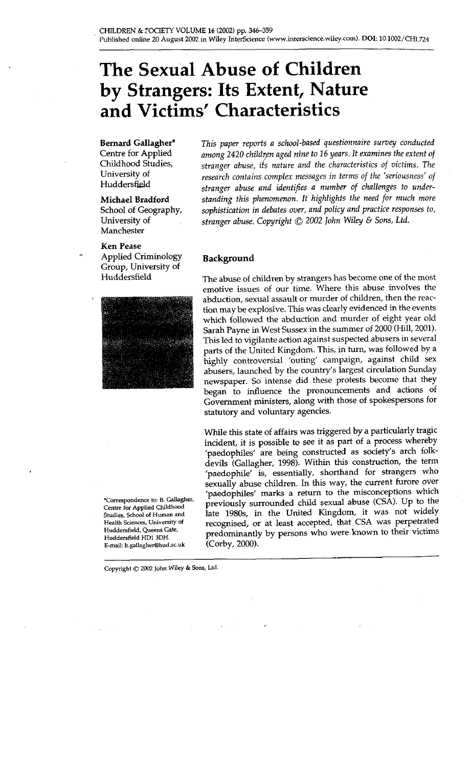# **The Sexual Abuse of Children by Strangers: Its Extent, Nature and Victims' Characteristics**

Bernard Gallagher\* Centre for Applied Childhood Studies, University of Huddersfjeld

Michael Bradford School of Geography, University of Manchester

*This paper reports <sup>a</sup> school-based questionnaire* survey *conducted among 2420 childr,en aged nine to 16 years. It examines the extent of stranger abuse, its nature and the characteristics of victims. The research contains complex messages in terms of the 'seriousness' of stranger abuse and identifies <sup>a</sup> number of challenges to under standing this phenomenon. It highlights the need for much more sophistication in debates over, and policy and practice responses to, stranger abuse. Copyright* © *2002 John Wiley & Sons, Ltd.*

#### Ken Pease

Applied Criminology Group, University of Huddersfield

| Ø           |
|-------------|
|             |
|             |
|             |
| Kalendar    |
|             |
|             |
|             |
|             |
|             |
|             |
| 사로 대한 대학 개선 |
|             |
|             |
|             |
|             |
|             |
|             |
|             |
|             |
|             |
|             |
|             |
|             |
|             |
|             |
| a Tin       |
|             |
|             |
|             |
|             |
|             |
|             |
|             |
|             |
|             |
|             |
|             |
|             |
|             |
|             |
|             |
|             |
|             |
|             |

\*Correspondence to: B. Gallagher, Centre for Applied Childhood Studies, School of Human and **Health** Sciences, University **of** Huddersfield, Queens Gate, Huddersfield HD1 3DH. E-mail: b.gallagher@hud.ac.uk

Copyright © 2002 John Wiley & Sons, Ltd.

# Background

The abuse of children by strangers has become one of the most emotive issues of our time. Where this abuse involves the abduction, sexual assault or murder of children, then the reac tion may be explosive. This was clearly evidenced in the events which followed the abduction and murder of eight year old Sarah Payne in West Sussex in the summer of 2000 Hill, 2001. This led to vigilante action against suspected abusers in several parts of the United Kingdom. This, in turn, was followed by a highly controversial 'outing' campaign, against child sex abusers, launched by the country's largest circulation Sunday newspaper. So intense did these protests become that they began to influence the pronouncements and actions of Government ministers, along with those of spokespersons for statutory and voluntary agencies.

While this state of affairs was triggered by a particularly tragic incident, it is possible to see it as part of a process whereby 'paedophiles' are being constructed as society's arch folkdevils Gallagher, 1998. Within this construction, the term 'paedophile' is, essentially, shorthand for strangers who sexually abuse children. In this way, the current furore over 'paedophiles' marks a return to the misconceptions which previously surrounded child sexual abuse CSA. Up to the late I980s, in the United Kingdom, it was not widely recognised, or at least accepted, that CSA was perpetrated predominantly by persons who were known to their victims Corby, 2000.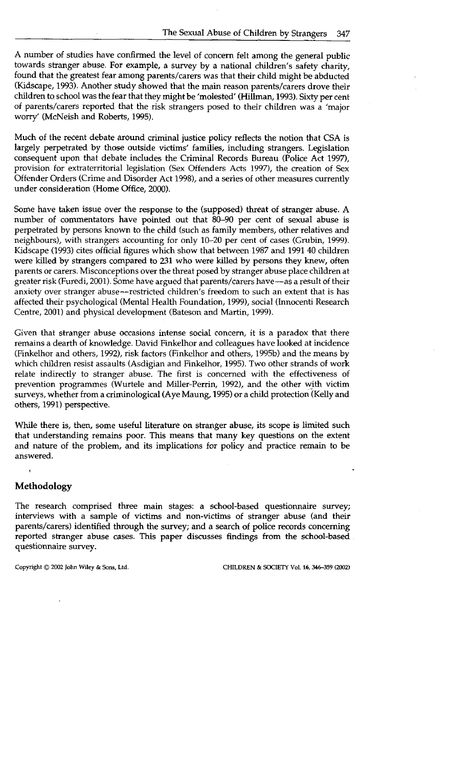<sup>A</sup> number of studies have confirmed the level of concern felt among the general public towards stranger abuse. For example, a survey by a national children's safety charity, found that the greatest fear among parents/carers was that their child might be abducted (Kidscape, 1993). Another study showed that the main reason parents/carers drove their children to school was the fear that they might be 'molested' (Hillman, 1993). Sixty per cent of parents/carers reported that the risk strangers posed to their children was <sup>a</sup> 'major worry' McNeish and Roberts, 1995.

Much of the recent debate around criminal justice policy reflects the notion that CSA is largely perpetrated by those outside victims' families, including strangers. Legislation consequent upon that debate includes the Criminal Records Bureau (Police Act 1997), provision for extraterritorial legislation (Sex Offenders Acts 1997), the creation of Sex Offender Orders (Crime and Disorder Act 1998), and a series of other measures currently under consideration (Home Office, 2000).

Some have taken issue over the response to the (supposed) threat of stranger abuse. A number of commentators have pointed out that 80-90 per cent of sexual abuse is perpetrated by persons known to the child (such as family members, other relatives and neighbours), with strangers accounting for only 10-20 per cent of cases (Grubin, 1999). Kidscape (1993) cites official figures which show that between 1987 and 1991 40 children were killed by strangers compared to 231 who were killed by persons they knew, often parents or carers. Misconceptions over the threat posed by stranger abuse place children at greater risk (Furedi, 2001). Some have argued that parents/carers have—as a result of their anxiety over stranger abuse--restricted children's freedom to such an extent that is has affected their psychological Mental Health Foundation, 1999, social Innocenti Research Centre, 2001) and physical development (Bateson and Martin, 1999).

Given that stranger abuse occasions intense social concern, it is a paradox that there remains a dearth of knowledge. David Finkelhor and colleagues have looked at incidence (Finkelhor and others, 1992), risk factors (Finkelhor and others, 1995b) and the means by which children resist assaults (Asdigian and Finkelhor, 1995). Two other strands of work relate indirectly to stranger abuse. The first is concerned with the effectiveness of prevention programmes (Wurtele and Miller-Perrin, 1992), and the other with victim surveys, whether from a criminological (Aye Maung, 1995) or a child protection (Kelly and others, 1991) perspective.

While there is, then, some useful literature on stranger abuse, its scope is limited such that understanding remains poor. This means that many key questions on the extent and nature of the problem, and its implications for policy and practice remain to be answered.

# Methodology

The research comprised three main stages: a school-based questionnaire survey; interviews with a sample of victims and non-victims of stranger abuse (and their parents/carers) identified through the survey; and a search of police records concerning reported stranger abuse cases. This paper discusses findings from the school-based questionnaire survey.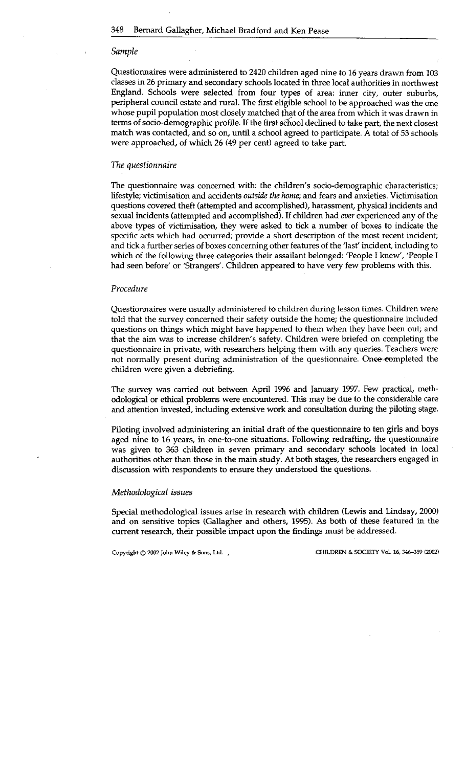## *Sample*

Questionnaires were administered to <sup>2420</sup> children aged nine to <sup>16</sup> years drawn from <sup>103</sup> classes in <sup>26</sup> primary and secondary schools located in three local authorities in northwest England. Schools were selected from four types of area: inner city, outer suburbs, peripheral council estate and rural. The first eligible school to be approached was the one whose pupil population most closely matched that of the area from which it was drawn in terms ofsocio-demographic profile. If the first séhool declined to take part, the next closest match was contacted, and so on, until <sup>a</sup> school agreed to participate. A total of 53 schools were approached, of which 26 (49 per cent) agreed to take part.

## *The questionnaire*

The questionnaire was concerned with: the children's socio-demographic characteristics; lifestyle; victimisation and accidents *outside the home;* and fears and anxieties. Victimisation questions covered theft (attempted and accomplished), harassment, physical incidents and sexual incidents (attempted and accomplished). If children had *ever* experienced any of the above types of victimisation, they were asked to tick a number of boxes to indicate the specific acts which had occurred; provide a short description of the most recent incident; and tick a further series of boxes concerning other features of the 'last' incident, including to which of the following three categories their assailant belonged: 'People <sup>I</sup> knew', 'People <sup>I</sup> had seen before' or 'Strangers'. Children appeared to have very few problems with this.

#### *Procedure*

Questionnaires were usually administered to children during lesson times. Children were told that the survey concerned their safety outside the home; the questionnaire included questions on things which might have happened to them when they have been out; and that the aim was to increase children's safety. Children were briefed on completing the questionnaire in private, with researchers helping them with any queries. Teachers were not normally present during administration of the questionnaire. Once completed the children were given a debriefing.

The survey was carried out between April 1996 and January 1997. Few practical, methodological or ethical problems were encountered. This may be due to the considerable care and attention invested, including extensive work and consultation during the piloting stage.

Piloting involved administering an initial draft of the questionnaire to ten girls and boys aged nine to <sup>16</sup> years, in one-to-one situations. Following redrafting, the questionnaire was given to 363 children in seven primary and secondary schools located in local authorities other than those in the main study. At both stages, the researchers engaged in discussion with respondents to ensure they understood the questions.

## *Methodological issues*

Special methodological issues arise in research with children Lewis and Lindsay, 2000 and on sensitive topics Gallagher and others, 1995. As both of these featured in the current research, their possible impact upon the findings must be addressed.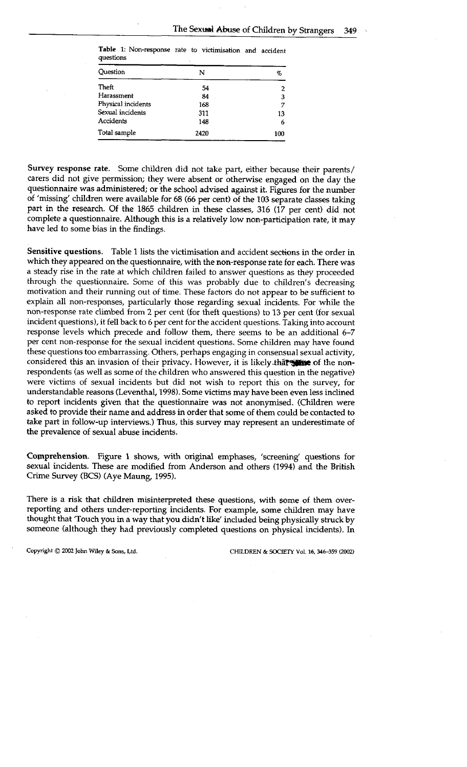Table 1: Non-response rate to victimisation and accident questions

| Question           | N    | $\%$ |
|--------------------|------|------|
| Theft              | 54   |      |
| Harassment         | 84   | 3    |
| Physical incidents | 168  | 7    |
| Sexual incidents   | 311  | 13   |
| Accidents          | 148  | 6    |
| Total sample       | 2420 | 100  |

Survey response rate. Some children did not take part, either because their parents/ carers did not give permission; they were absent or otherwise engaged on the day the questionnaire was administered; or the school advised against it. Figures for the number of 'missing' children were available for 68 (66 per cent) of the 103 separate classes taking part in the research. Of the 1865 children in these classes, 316 (17 per cent) did not complete a questionnaire. Although this is a relatively low non-participation rate, it may have led to some bias in the findings.

Sensitive questions. Table <sup>1</sup> lists the victimisation and accident sections in the order in which they appeared on the questionnaire, with the non-response rate for each. There was a steady rise in the rate at which children failed to answer questions as they proceeded through the questionnaire. Some of this was probably due to children's decreasing motivation and their running out of time. These factors do not appear to be sufficient to explain all non-responses, particularly those regarding sexual incidents. For while the non-response rate climbed from 2 per cent (for theft questions) to 13 per cent (for sexual incident questions), it fell back to 6 per cent for the accident questions. Taking into account response levels which precede and follow them, there seems to be an additional 6-7 per cent non-response for the sexual incident questions. Some children may have found these questions too embarrassing. Others, perhaps engaging in consensual sexual activity, considered this an invasion of their privacy. However, it is likely that the of the nonrespondents (as well as some of the children who answered this question in the negative) were victims of sexual incidents but did not wish to report this on the survey, for understandable reasons (Leventhal, 1998). Some victims may have been even less inclined to report incidents given that the questionnaire was not anonymised. Children were asked to provide their name and address in order that some of them could be contacted to take part in follow-up interviews.) Thus, this survey may represent an underestimate of the prevalence of sexual abuse incidents.

Comprehension. Figure <sup>1</sup> shows, with original emphases, 'screening' questions for sexual incidents. These are modified from Anderson and others (1994) and the British Crime Survey (BCS) (Aye Maung, 1995).

There is a risk that children misinterpreted these questions, with some of them overreporting and others under-reporting incidents. For example, some children may have thought that 'Touch you in a way that you didn't like' included being physically struck by someone (although they had previously completed questions on physical incidents). In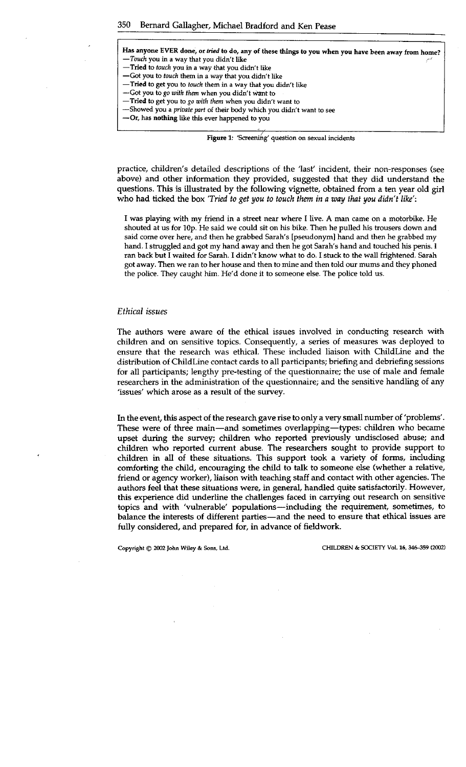- Has anyone EVER done, or *tried* to do, any of these things to you when you have been away from home? *-Touch* you in a way that you didn't like -Tried to *touch* you in a way that you didn't like -Got you to *touch* them in a way that you didn't like
- -Tried to get you to *touch* them in <sup>a</sup> way that you didn't tike
- -Got you to go with them when you didn't want to
- -Tried to get you to *go with them* when you didn't want to
- -Showed you a *private part* of their body which you didn't want to see
- -Or, has nothing like this ever happened to you

Figure 1: 'Screening' question on sexual incidents

practice, children's detailed descriptions of the 'last' incident, their non-responses (see above) and other information they provided, suggested that they did understand the questions. This is illustrated by the following vignette, obtained from a ten year old girl who had ticked the box *'Tried to get you to touch them in <sup>a</sup> way that you didn't like':*

<sup>I</sup> was playing with my friend in <sup>a</sup> street near where <sup>I</sup> live. A man came on <sup>a</sup> motorbike. He shouted at us for lop. He said we could sit on his bike. Then he pulled his trousers down and said come over here, and then he grabbed Sarah's [pseudonym] hand and then he grabbed my hand. <sup>I</sup> struggled and got my hand away and then he got Sarah's hand and touched his penis. I ran back but <sup>I</sup> waited for Sarah. <sup>I</sup> didn't know what to do. <sup>I</sup> stuck to the wall frightened. Sarah got away. Then we ran to her house and then to mine and then told our mums and they phoned the police. They caught him. He'd done it to someone else. The police told us.

## *Ethical issues*

The authors were aware of the ethical issues involved in conducting research with children and on sensitive topics. Consequently, a series of measures was deployed to ensure that the research was ethical. These included liaison with ChildLine and the distribution of ChildLine contact cards to all participants; briefing and debriefing sessions for all participants; lengthy pre-testing of the questionnaire; the use of male and female researchers in the administration of the questionnaire; and the sensitive handling of any 'issues' which arose as a result of the survey.

In the event, this aspect of the research gave rise to only a very small number of 'problems'. These were of three main-and sometimes overlapping-types: children who became upset during the survey; children who reported previously undisclosed abuse; and children who reported current abuse. The researchers sought to provide support to children in all of these situations. This support took a variety of forms, including comforting the child, encouraging the child to talk to someone else (whether a relative, friend or agency worker), liaison with teaching staff and contact with other agencies. The authors feel that these situations were, in general, handled quite satisfactorily. However, this experience did underline the challenges faced in carrying out research on sensitive topics and with 'vulnerable' populations-including the requirement, sometimes, to balance the interests of different parties—and the need to ensure that ethical issues are fully considered, and prepared for, in advance of fieldwork.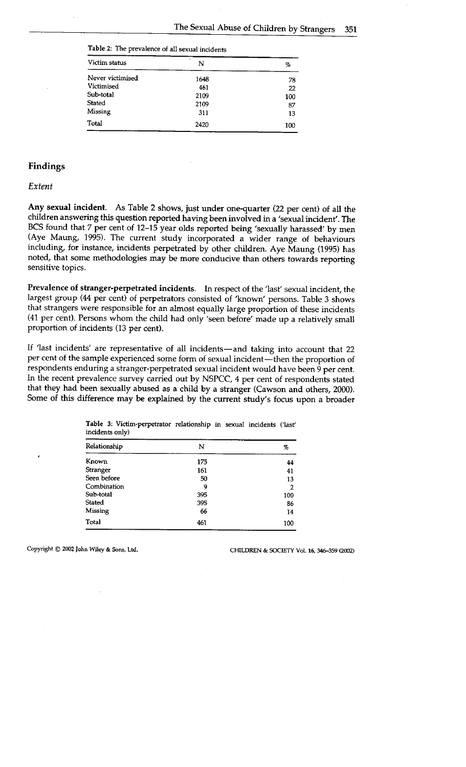|  | Table 2: The prevalence of all sexual incidents |  |  |  |
|--|-------------------------------------------------|--|--|--|
|--|-------------------------------------------------|--|--|--|

| Victim status    | N    | %   |  |
|------------------|------|-----|--|
| Never victimised | 1648 | 78  |  |
| Victimised       | 461  | 22  |  |
| Sub-total        | 2109 | 100 |  |
| Stated           | 2109 | 87  |  |
| Missing          | 311  | 13  |  |
| Total            | 2420 | 100 |  |

#### Findings

#### *Extent*

Any sexual incident. As Table 2 shows, just under one-quarter (22 per cent) of all the children answering this question reported having been involved in a 'sexual incident'. The BCS found that 7 per cent of 12-15 year olds reported being 'sexually harassed' by men Aye Maung, 1995. The current study incorporated a wider range of behaviours including, for instance, incidents perpetrated by other children. Aye Maung (1995) has noted, that some methodologies may be more conducive than others towards reporting sensitive topics.

Prevalence of stranger-perpetrated incidents. In respect of the 'last' sexual incident, the largest group (44 per cent) of perpetrators consisted of 'known' persons. Table 3 shows that strangers were responsible for an almost equally large proportion of these incidents (41 per cent). Persons whom the child had only 'seen before' made up a relatively small proportion of incidents (13 per cent).

If 'last incidents' are representative of all incidents-and taking into account that 22 per cent of the sample experienced some form of sexual incident-then the proportion of respondents enduring a stranger-perpetrated sexual incident would have been 9 per cent. In the recent prevalence survey carried out by NSPCC, 4 per cent of respondents stated that they had been sexually abused as a child by a stranger Cawson and others, 2000. Some of this difference may be explained by the current study's focus upon a broader

Table 3: Victim-perpetrator relationship in sexual incidents ('last'

| incidents only) |     |                |  |  |
|-----------------|-----|----------------|--|--|
| Relationship    | N   | %              |  |  |
| Known           | 175 | 44             |  |  |
| Stranger        | 161 | 41             |  |  |
| Seen before     | 50  | 13             |  |  |
| Combination     | 9   | $\overline{2}$ |  |  |
| Sub-total       | 395 | 100            |  |  |
| Stated          | 395 | 86             |  |  |
| Missing         | 66  | 14             |  |  |
| Total           | 461 | 100            |  |  |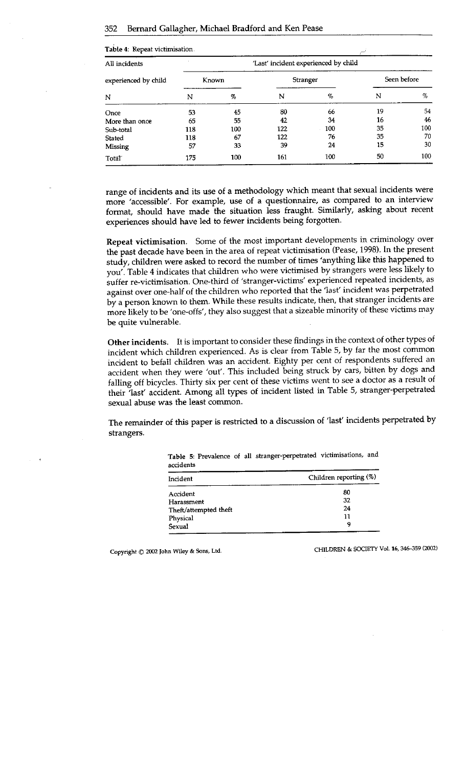| All incidents<br>experienced by child<br>N |       |     |          | 'Last' incident experienced by child |             |     |
|--------------------------------------------|-------|-----|----------|--------------------------------------|-------------|-----|
|                                            | Known |     | Stranger |                                      | Seen before |     |
|                                            | N     | %   | N        | %                                    | N           | %   |
| Once                                       | 53    | 45  | 80       | 66                                   | 19          | 54  |
| More than once                             | 65    | 55  | 42       | 34                                   | 16          | 46  |
| Sub-total                                  | 118   | 100 | 122      | 100                                  | 35          | 100 |
| <b>Stated</b>                              | 118   | 67  | 122      | 76                                   | 35          | 70  |
| Missing                                    | 57    | 33  | 39       | 24                                   | 15          | 30  |
| Total                                      | 175   | 100 | 161      | 100                                  | 50          | 100 |

Table 4: Repeat victimisation

range of incidents and its use of a methodology which meant that sexual incidents were more 'accessible'. For example, use of a questionnaire, as compared to an interview format, should have made the situation less fraught. Similarly, asking about recent experiences should have led to fewer incidents being forgotten.

Repeat victimisation. Some of the most important developments in criminology over the past decade have been in the area of repeat victimisation (Pease, 1998). In the present study, children were asked to record the number of times 'anything like this happened to you'. Table <sup>4</sup> indicates that children who were victimised by strangers were less likely to suffer re-victimisation. One-third of 'stranger-victims' experienced repeated incidents, as against over one-half of the children who reported that the 'last' incident was perpetrated by a person known to them. While these results indicate, then, that stranger incidents are more likely to be 'one-offs', they also suggest that a sizeable minority of these victims may be quite vulnerable.

Other incidents. It is important to consider these findings in the context of other types of incident which children experienced. As is clear from Table 5, by far the most common incident to befall children was an accident. Eighty per cent of respondents suffered an accident when they were 'out'. This included being struck by cars, bitten by dogs and falling off bicycles. Thirty six per cent of these victims went to see a doctor as a result of their 'last' accident. Among all types of incident listed in Table 5, stranger-perpetrated sexual abuse was the least common.

The remainder of this paper is restricted to a discussion of 'last' incidents perpetrated by strangers.

| acciuento             |                        |
|-----------------------|------------------------|
| Incident              | Children reporting (%) |
| Accident              | 80                     |
| Harassment            | 32                     |
| Theft/attempted theft | 24                     |
| Physical              | 11                     |
| Sexual                | 9                      |

|           |  |  | Table 5: Prevalence of all stranger-perpetrated victimisations, and |  |
|-----------|--|--|---------------------------------------------------------------------|--|
| accidents |  |  |                                                                     |  |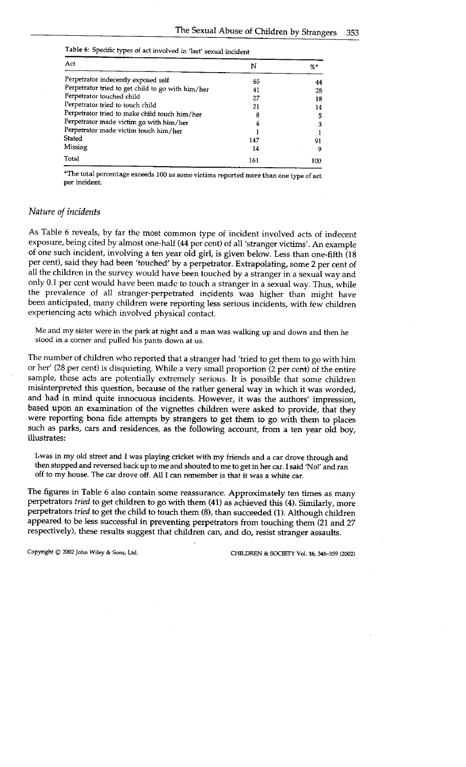Table 6: Specific types *of* act involved in 'last' sexual incident

| Act                                               | N   | %*  |  |
|---------------------------------------------------|-----|-----|--|
| Perpetrator indecently exposed self               | 65  | 44  |  |
| Perpetrator tried to get child to go with him/her | 41  | 28  |  |
| Perpetrator touched child                         | 27  | 18  |  |
| Perpetrator tried to touch child                  | 21  | 14  |  |
| Perpetrator tried to make child touch him/her     |     |     |  |
| Perpetrator made victim go with him/her           |     |     |  |
| Perpetrator made victim touch him/her             |     |     |  |
| Stated                                            | 147 | 91  |  |
| Missing                                           | 14  |     |  |
| Total                                             | 161 | 100 |  |

\*The total percentage exceeds 100 as some victims reported more than one type of act per incident.

## *Nature of incidents*

As Table 6 reveals, by far the most common type of incident involved acts of indecent exposure, being cited by almost one-half (44 per cent) of all 'stranger victims'. An example of one such incident, involving a ten year old girl, is given below. Less than one-fifth (18 per cent), said they had been 'touched' by a perpetrator. Extrapolating, some 2 per cent of all the children in the survey would have been touched by a stranger in a sexual way and only 0.1 per cent would have been made to touch a stranger in a sexual way. Thus, while the prevalence of all stranger-perpetrated incidents was higher than might have been anticipated, many children were reporting less serious incidents, with few children experiencing acts which involved physical contact.

Me and my sister were in the park at night and a man was walking up and down and then he stood in <sup>a</sup> corner and pulled his pants down at us.

The number of children who reported that a stranger had 'tried to get them to go with him or her' (28 per cent) is disquieting. While a very small proportion (2 per cent) of the entire sample, these acts are potentially extremely serious. It is possible that some children misinterpreted this question, because of the rather general way in which it was worded, and had in mind quite innocuous incidents. However, it was the authors' impression, based upon an examination of the vignettes children were asked to provide, that they were reporting bona fide attempts by strangers to get them to go with them to places such as parks, cars and residences, as the following account, from a ten year old boy, illustrates:

hwas in my old street and <sup>I</sup> was playing cricket with my friends and <sup>a</sup> car drove through and then stopped and reversed back up to me and shouted to me to get in her car. <sup>I</sup> said 'No!' and ran off to my house. The car drove off. All <sup>I</sup> can remember is that it was a white car.

The figures in Table 6 also contain some reassurance. Approximately ten times as many perpetrators *tried* to get children to go with them (41) as achieved this (4). Similarly, more perpetrators *tried* to get the child to touch them (8), than succeeded (1). Although children appeared to be less successful in preventing perpetrators from touching them (21 and 27 respectively, these results suggest that children can, and do, resist stranger assaults.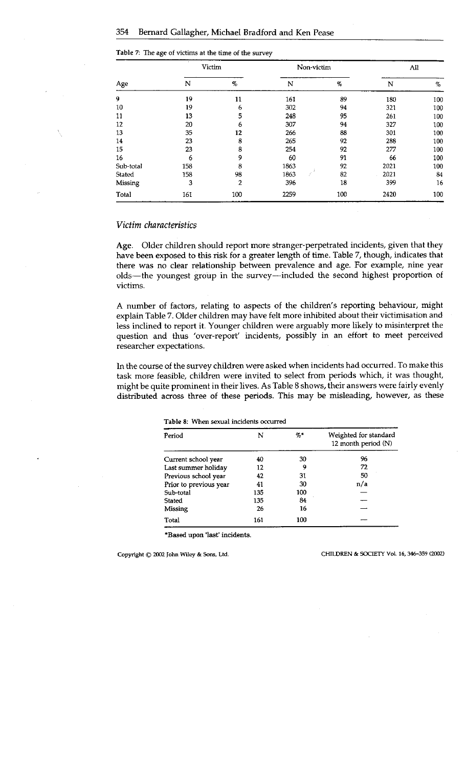| Age       | $\sim$ | Victim         | Non-victim |  |     |      | All  |  |
|-----------|--------|----------------|------------|--|-----|------|------|--|
|           | N      | $\%$           | N          |  | %   | N    | $\%$ |  |
| 9         | 19     | 11             | 161        |  | 89  | 180  | 100  |  |
| 10        | 19     | 6              | 302        |  | 94  | 321  | 100  |  |
| 11        | 13     | 5              | 248        |  | 95  | 261  | 100  |  |
| 12        | 20     | 6              | 307        |  | 94  | 327  | 100  |  |
| 13        | 35     | 12             | 266        |  | 88  | 301  | 100  |  |
| 14        | 23     | 8              | 265        |  | 92  | 288  | 100  |  |
| 15        | 23     | 8              | 254        |  | 92  | 277  | 100  |  |
| 16        | 6      | 9              | 60         |  | 91  | 66   | 100  |  |
| Sub-total | 158    | 8              | 1863       |  | 92  | 2021 | 100  |  |
| Stated    | 158    | 98             | 1863       |  | 82  | 2021 | 84   |  |
| Missing   | 3      | $\overline{2}$ | 396        |  | 18  | 399  | 16   |  |
| Total     | 161    | 100            | 2259       |  | 100 | 2420 | 100  |  |

Table 7: The age of victims at the time of the survey

#### *Victim characteristics*

Age. Older children should report more stranger-perpetrated incidents, given that they have been exposed to this risk for a greater length of time. Table 7, though, indicates that there was no clear relationship between prevalence and age. For example, nine year olds-the youngest group in the survey-included the second highest proportion of victims.

A number of factors, relating to aspects of the children's reporting behaviour, might explain Table 7. Older children may have felt more inhibited about their victimisation and less inclined to report it. Younger children were arguably more likely to misinterpret the question and thus 'over-report' incidents, possibly in an effort to meet perceived researcher expectations.

In the course of the survey children were asked when incidents had occurred. To make this task more feasible, children were invited to select from periods which, it was thought, might be quite prominent in their lives. As Table <sup>8</sup> shows, their answers were fairly evenly distributed across three of these periods. This may be misleading, however, as these

| Period                 | N   | %   | Weighted for standard<br>12 month period (N) |
|------------------------|-----|-----|----------------------------------------------|
| Current school year    | 40  | 30  | 96                                           |
| Last summer holiday    | 12  | 9   | 72                                           |
| Previous school year   | 42  | 31  | 50                                           |
| Prior to previous year | 41  | 30  | $\pi/a$                                      |
| Sub-total              | 135 | 100 |                                              |
| <b>Stated</b>          | 135 | 84  |                                              |
| Missing                | 26  | 16  |                                              |
| Total                  | 161 | 100 |                                              |

Table 8: When sexual incidents occurred

Based upon 'last' incidents.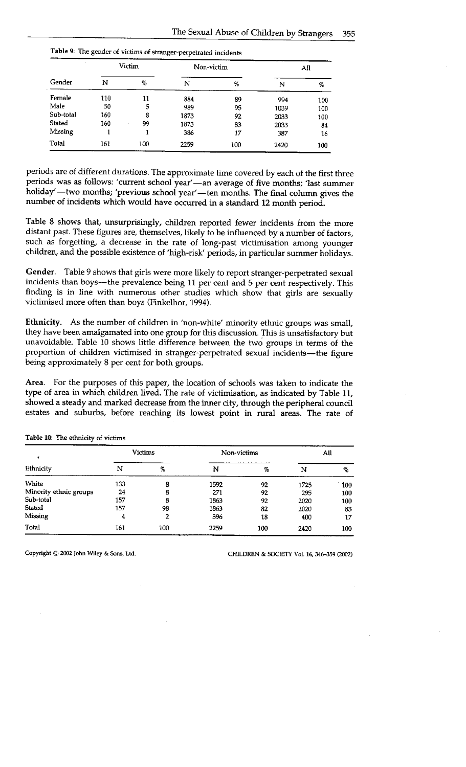| Gender        | Victim |     | Non-victim |     |      | All |  |
|---------------|--------|-----|------------|-----|------|-----|--|
|               | N      | %   | N          | %   | N    | %   |  |
| Female        | 110    | 11  | 884        | 89  | 994  | 100 |  |
| Male          | 50     | 5   | 989        | 95  | 1039 | 100 |  |
| Sub-total     | 160    | 8   | 1873       | 92  | 2033 | 100 |  |
| <b>Stated</b> | 160    | 99  | 1873       | 83  | 2033 | 84  |  |
| Missing       |        |     | 386        | 17  | 387  | 16  |  |
| Total         | 161    | 100 | 2259       | 100 | 2420 | 100 |  |

Table 9: The gender of victims of stranger-perpetrated incidents

periods are of different durations. The approximate time covered by each of the first three periods was as follows: 'current school year' —an average of five months; 'last summer holiday'-two months; 'previous school year'-ten months. The final column gives the number of incidents which would have occurred in a standard <sup>12</sup> month period.

Table <sup>8</sup> shows that, unsurprisingly, children reported fewer incidents from the more distant past. These figures are, themselves, likely to be influenced by a number of factors, such as forgetting, a decrease in the rate of long-past victimisation among younger children, and the possible existence of 'high-risk' periods, in particular summer holidays.

Gender. Table <sup>9</sup> shows that girls were more likely to report stranger-perpetrated sexual incidents than boys-the prevalence being 11 per cent and 5 per cent respectively. This finding is in line with numerous other studies which show that girls are sexually victimised more often than boys (Finkelhor, 1994).

Ethnicity. As the number of children in 'non-white' minority ethnic groups was small, they have been amalgamated into one group for this discussion. This is unsatisfactory but unavoidable. Table <sup>10</sup> shows little difference between the two groups in terms of the proportion of children victimised in stranger-perpetrated sexual incidents—the figure being approximately 8 per cent for both groups.

Area. For the purposes of this paper, the location of schools was taken to indicate the type of area in which children lived. The rate of victimisation, as indicated by Table 11, showed a steady and marked decrease from the inner city, through the peripheral council estates and suburbs, before reaching its lowest point in rural areas. The rate of

| Ethnicity              | Victims |     | Non-victims |     | All  |     |
|------------------------|---------|-----|-------------|-----|------|-----|
|                        | N       | %   | N           | %   | N    | %   |
| White                  | 133     | 8   | 1592        | 92  | 1725 | 100 |
| Minority ethnic groups | 24      | 8   | 271         | 92  | 295  | 100 |
| Sub-total              | 157     | 8   | 1863        | 92  | 2020 | 100 |
| <b>Stated</b>          | 157     | 98  | 1863        | 82  | 2020 | 83  |
| Missing                | 4       | 2   | 396         | 18  | 400  | 17  |
| Total                  | 161     | 100 | 2259        | 100 | 2420 | 100 |

Table 10: The ethnicity of victims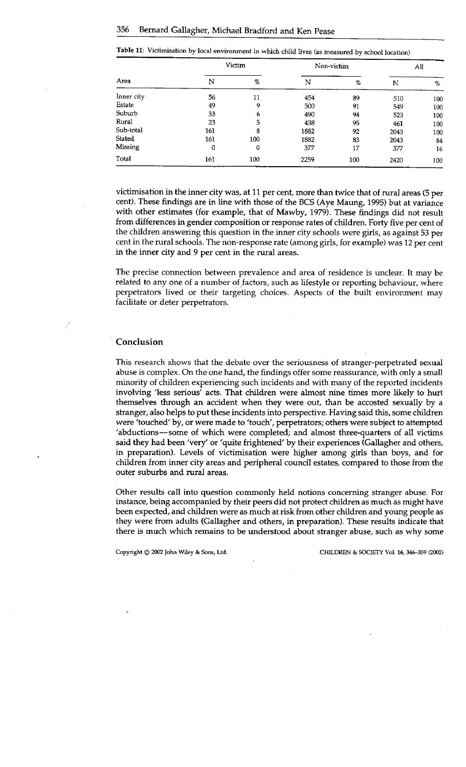| Area       | Victim |     | Non-victim |      | All  |     |
|------------|--------|-----|------------|------|------|-----|
|            | N      | %   | N          | $\%$ | N    | %   |
| Inner city | 56     | 11  | 454        | 89   | 510  | 100 |
| Estate     | 49     | 9   | 500        | 91   | 549  | 100 |
| Suburb     | 33     | 6   | 490        | 94   | 523  | 100 |
| Rural      | 23     | 5   | 438        | 95   | 461  | 100 |
| Sub-total  | 161    | 8   | 1882       | 92   | 2043 | 100 |
| Stated     | 161    | 100 | 1882       | 83   | 2043 | 84  |
| Missing    | 0      | 0   | 377        | 17   | 377  | 16  |
| Total      | 161    | 100 | 2259       | 100  | 2420 | 100 |

Table 11: Victimisation by local environment in which child lives (as measured by school location)

victimisation in the inner city was, at 11 per cent, more than twice that of rural areas (5 per cent). These findings are in line with those of the BCS (Aye Maung, 1995) but at variance with other estimates (for example, that of Mawby, 1979). These findings did not result from differencesin gender composition or response rates of children. Forty five per cent of the children answering this question in the inner city schools were girls, as against 53 per cent in the rural schools. The non-response rate (among girls, for example) was 12 per cent in the inner city and <sup>9</sup> per cent in the rural areas.

The precise connection between prevalence and area of residence is unclear. It may be related to any one of a number of factors, such as lifestyle or reporting behaviour, where perpetrators lived or their targeting choices. Aspects of the built environment may facilitate or deter perpetrators.

#### Conclusion

This research shows that the debate over the seriousness of stranger-perpetrated sexual abuse is complex. On the one hand, the findings offer some reassurance, with only a small minority of children experiencing such incidents and with many of the reported incidents involving 'less serious' acts. That children were almost nine times more likely to hurt themselves through an accident when they were out, than be accosted sexually by a stranger, also helps to put these incidents into perspective. Having said this, some children were 'touched' by, or were made to 'touch', perpetrators; others were subject to attempted 'abductions-some of which were completed; and almost three-quarters of all victims said they had been 'very' or 'quite frightened' by their experiences Gallagher and others, in preparation. Levels of victimisation were higher among girls than boys, and for children from inner city areas and peripheral council estates, compared to those from the outer suburbs and rural areas.

Other results call into question commonly held notions concerning stranger abuse. For instance, being accompanied by their peers did not protect children as much as might have been expected, and children were as much at risk from other children and young people as they were from adults (Gallagher and others, in preparation). These results indicate that there is much which remains to be understood about stranger abuse, such as why some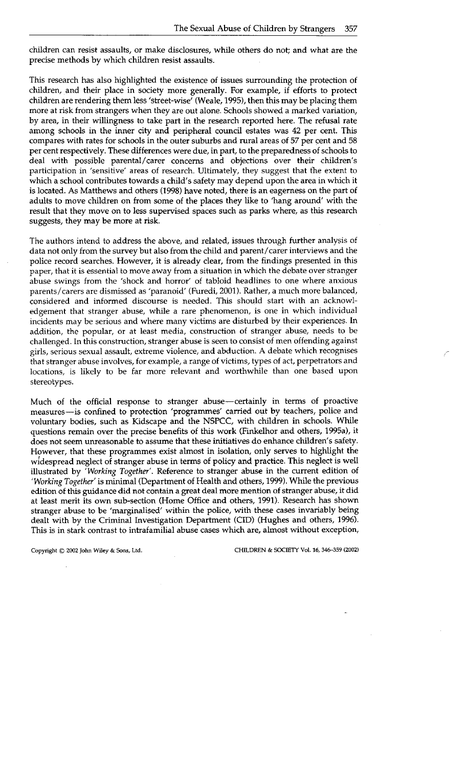children can resist assaults, or make disclosures, while others do not; and what are the precise methods by which children resist assaults.

This research has also highlighted the existence of issues surrounding the protection of children, and their place in society more generally. For example, if efforts to protect children are rendering them less 'street-wise' Weale, 1995, then this may be placing them more at risk from strangers when they are out alone. Schools showed a marked variation, by area, in their willingness to take part in the research reported here. The refusal rate among schools in the inner city and peripheral council estates was 42 per cent. This compares with rates for schools in the outer suburbs and rural areas of 57 per cent and 58 per cent respectively. These differences were due, in part, to the preparedness of schools to deal with possible parental/carer concerns and objections over their children's participation in 'sensitive' areas of research. Ultimately, they suggest that the extent to which a school contributes towards a child's safety may depend upon the area in which it is located. As Matthews and others (1998) have noted, there is an eagerness on the part of adults to move children on from some of the places they like to 'hang around' with the result that they move on to less supervised spaces such as parks where, as this research suggests, they may be more at risk.

The authors intend to address the above, and related, issues through further analysis of data not only from the survey but also from the child and parent/carer interviews and the police record searches. However, it is already clear, from the findings presented in this paper, that it is essential to move away from a situation in which the debate over stranger abuse swings from the 'shock and horror' of tabloid headlines to one where anxious parents/carers are dismissed as 'paranoid' (Furedi, 2001). Rather, a much more balanced, considered and informed discourse is needed. This should start with an acknowl edgement that stranger abuse, while a rare phenomenon, is one in which individual incidents may be serious and where many victims are disturbed by their experiences. In addition, the popular, or at least media, construction of stranger abuse, needs to be challenged. In this construction, stranger abuse is seen to consist of men offending against girls, serious sexual assault, extreme violence, and abduction. A debate which recognises that stranger abuse involves, for example, a range of victims, types of act, perpetrators and locations, is likely to be far more relevant and worthwhile than one based upon stereotypes.

Much of the official response to stranger abuse-certainly in terms of proactive measures-is confined to protection 'programmes' carried out by teachers, police and voluntary bodies, such as Kidscape and the NSPCC, with children in schools. While questions remain over the precise benefits of this work (Finkelhor and others, 1995a), it does not seem unreasonable to assume that these initiatives do enhance children's safety. However, that these programmes exist almost in isolation, only serves to highlight the widespread neglect of stranger abuse in terms of policy and practice. This neglect is well illustrated by *'Working Together'.* Reference to stranger abuse in the current edition of 'Working Together' is minimal (Department of Health and others, 1999). While the previous edition of this guidance did not contain a great deal more mention of stranger abuse, it did at least merit its own sub-section (Home Office and others, 1991). Research has shown stranger abuse to be 'marginalised' within the police, with these cases invariably being dealt with by the Criminal Investigation Department (CID) (Hughes and others, 1996). This is in stark contrast to intrafamilial abuse cases which are, almost without exception,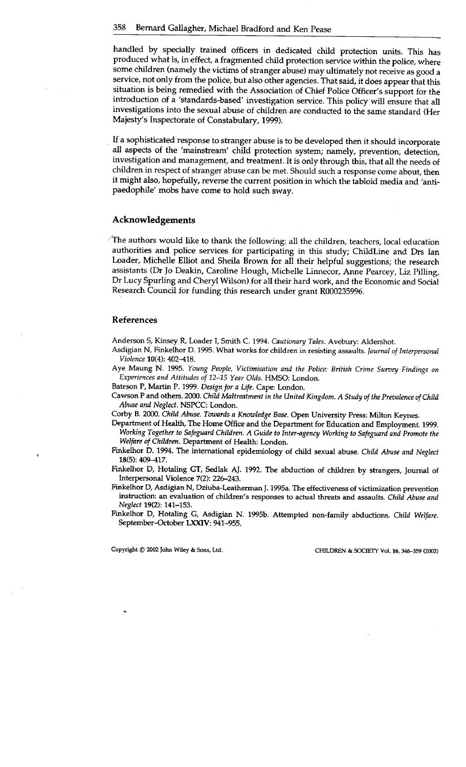handled by specially trained officers in dedicated child protection units. This has produced what is, in effect, a fragmented child protection service within the police, where some children (namely the victims of stranger abuse) may ultimately not receive as good a service, not only from the police, but also other agencies. That said, it does appear that this situation is being remedied with the Association of Chief Police Officer's support for the introduction of a 'standards-based' investigation service. This policy will ensure that all investigations into the sexual abuse of children are conducted to the same standard Her Majesty's Inspectorate of Constabulary, 1999.

If a sophisticated response to stranger abuse is to be developed then it should incorporate all aspects of the 'mainstream' child protection system; namely, prevention, detection, investigation and management, and treatment. It is only through this, that all the needs of children in respect of stranger abuse can be met. Should such a response come about, then it might also, hopefully, reverse the current position in which the tabloid media and 'anti paedophile' mobs have come to hold such sway.

## Acknowledgements

The authors would like to thank the following: all the children, teachers, local education authorities and police services for participating in this study; ChildLine and Drs Ian Loader, Michelle Elliot and Sheila Brown for all their helpful suggestions; the research assistants (Dr Jo Deakin, Caroline Hough, Michelle Linnecor, Anne Pearcey, Liz Pilling, Dr Lucy Spurling and Cheryl Wilson) for all their hard work, and the Economic and Social Research Council for funding this research under grant R000235996.

#### References

Anderson S, Kinsey R, Loader I, Smith C. 1994. *Cautionary Tales.* Avebury: Aldershot.

Asdigian N, Finkeihor D. 1995. What works for children in resisting assaults. *Journal ofInterpersonal Violence* 10(4): 402-418.

Aye Maung N. 1995. *Young People, Victimisation and the Police: British Crime Survey Findings on Experiences and Attitudes of 12-15 Year Olds.* HMSO: London.

Bateson P, Martin P. 1999. *Design for <sup>a</sup> Life.* Cape: London.

Cawson P and others. 2000. *Child Maltreatment in the United Kingdom. A Study of the Prevalence of Child Abuse and Neglect.* NSPCC: London.

Corby B. 2000. *Child Abuse. Towards <sup>a</sup> Knowledge Base.* Open University Press: Milton Keynes.

Department of Health, The Home Office and the Department for Education and Employment. 1999. *Working Together to Safeguard Children. A Guide to Inter-agency Working to Safeguard and Promote the Welfare of Children.* Department of Health: London.

Finkelhor D. 1994. The international epidemiology of child sexual abuse. *Child Abuse and Neglect* 185: 409-417.

Finkelhor D, Hotaling GT, Sedlak AJ. 1992. The abduction of children by strangers, Journal of Interpersonal Violence 7(2): 226-243.

Finkelhor D, Asdigian N, Oziuba-Leatherman J. 1995a. The effectiveness of victimization prevention Instruction: an evaluation of children's responses to actual threats and assaults. *Child Abuse and Neglect* **19(2)**: **141-153.** 

Finkelhor D, Hotaling C, Asdigian N. 1995b. Attempted non-family abductions. *Child Welfare.* September-October LXXIV: 941-955.